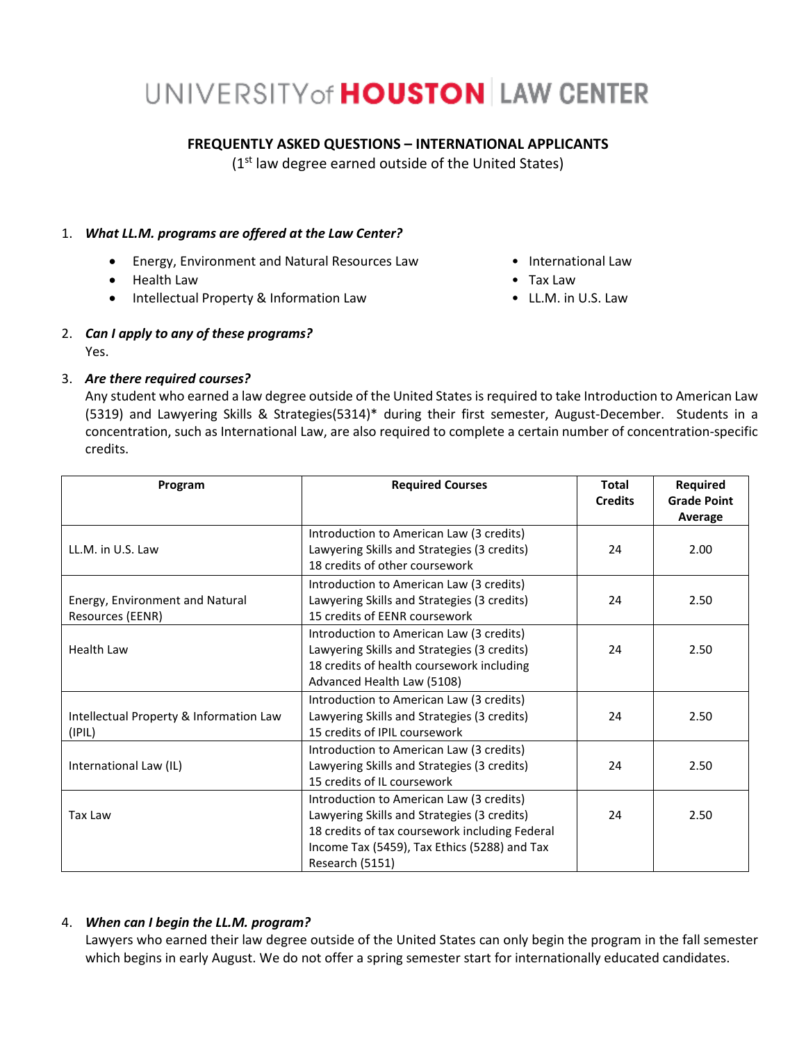# UNIVERSITY of **HOUSTON** LAW CENTER

## **FREQUENTLY ASKED QUESTIONS – INTERNATIONAL APPLICANTS**

(1<sup>st</sup> law degree earned outside of the United States)

#### 1. *What LL.M. programs are offered at the Law Center?*

- Energy, Environment and Natural Resources Law International Law
- Health Law Tax Law
- Intellectual Property & Information Law LL.M. in U.S. Law
- 2. *Can I apply to any of these programs?* Yes.

## 3. *Are there required courses?*

Any student who earned a law degree outside of the United States isrequired to take Introduction to American Law (5319) and Lawyering Skills & Strategies(5314)\* during their first semester, August-December. Students in a concentration, such as International Law, are also required to complete a certain number of concentration-specific credits.

| Program                                 | <b>Required Courses</b>                        | <b>Total</b>   | Required                      |
|-----------------------------------------|------------------------------------------------|----------------|-------------------------------|
|                                         |                                                | <b>Credits</b> | <b>Grade Point</b><br>Average |
|                                         | Introduction to American Law (3 credits)       |                |                               |
| LL.M. in U.S. Law                       | Lawyering Skills and Strategies (3 credits)    | 24             | 2.00                          |
|                                         | 18 credits of other coursework                 |                |                               |
|                                         | Introduction to American Law (3 credits)       |                |                               |
| Energy, Environment and Natural         | Lawyering Skills and Strategies (3 credits)    | 24             | 2.50                          |
| Resources (EENR)                        | 15 credits of EENR coursework                  |                |                               |
|                                         | Introduction to American Law (3 credits)       |                |                               |
| <b>Health Law</b>                       | Lawyering Skills and Strategies (3 credits)    | 24             | 2.50                          |
|                                         | 18 credits of health coursework including      |                |                               |
|                                         | Advanced Health Law (5108)                     |                |                               |
|                                         | Introduction to American Law (3 credits)       |                |                               |
| Intellectual Property & Information Law | Lawyering Skills and Strategies (3 credits)    | 24             | 2.50                          |
| (IPIL)                                  | 15 credits of IPIL coursework                  |                |                               |
|                                         | Introduction to American Law (3 credits)       |                |                               |
| International Law (IL)                  | Lawyering Skills and Strategies (3 credits)    | 24             | 2.50                          |
|                                         | 15 credits of IL coursework                    |                |                               |
|                                         | Introduction to American Law (3 credits)       |                |                               |
| Tax Law                                 | Lawyering Skills and Strategies (3 credits)    | 24             | 2.50                          |
|                                         | 18 credits of tax coursework including Federal |                |                               |
|                                         | Income Tax (5459), Tax Ethics (5288) and Tax   |                |                               |
|                                         | Research (5151)                                |                |                               |

## 4. *When can I begin the LL.M. program?*

Lawyers who earned their law degree outside of the United States can only begin the program in the fall semester which begins in early August. We do not offer a spring semester start for internationally educated candidates.

- 
- 
-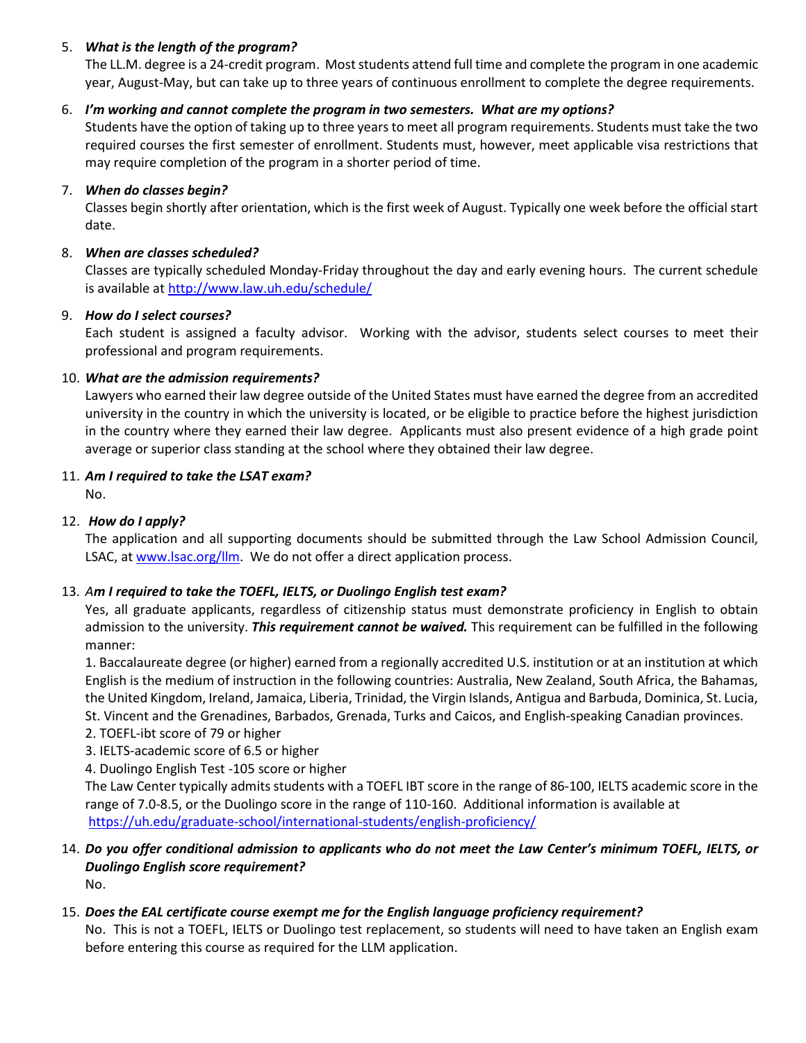#### 5. *What is the length of the program?*

The LL.M. degree is a 24-credit program. Most students attend full time and complete the program in one academic year, August-May, but can take up to three years of continuous enrollment to complete the degree requirements.

#### 6. *I'm working and cannot complete the program in two semesters. What are my options?*

Students have the option of taking up to three years to meet all program requirements. Students must take the two required courses the first semester of enrollment. Students must, however, meet applicable visa restrictions that may require completion of the program in a shorter period of time.

#### 7. *When do classes begin?*

Classes begin shortly after orientation, which is the first week of August. Typically one week before the official start date.

#### 8. *When are classes scheduled?*

Classes are typically scheduled Monday-Friday throughout the day and early evening hours. The current schedule is available a[t http://www.law.uh.edu/schedule/](http://www.law.uh.edu/schedule/)

#### 9. *How do I select courses?*

Each student is assigned a faculty advisor. Working with the advisor, students select courses to meet their professional and program requirements.

#### 10. *What are the admission requirements?*

Lawyers who earned their law degree outside of the United States must have earned the degree from an accredited university in the country in which the university is located, or be eligible to practice before the highest jurisdiction in the country where they earned their law degree. Applicants must also present evidence of a high grade point average or superior class standing at the school where they obtained their law degree.

#### 11. *Am I required to take the LSAT exam?*

No.

## 12. *How do I apply?*

The application and all supporting documents should be submitted through the Law School Admission Council, LSAC, a[t www.lsac.org/llm.](http://www.lsac.org/llm) We do not offer a direct application process.

## 13. *Am I required to take the TOEFL, IELTS, or Duolingo English test exam?*

Yes, all graduate applicants, regardless of citizenship status must demonstrate proficiency in English to obtain admission to the university. *This requirement cannot be waived.* This requirement can be fulfilled in the following manner:

1. Baccalaureate degree (or higher) earned from a regionally accredited U.S. institution or at an institution at which English is the medium of instruction in the following countries: Australia, New Zealand, South Africa, the Bahamas, the United Kingdom, Ireland, Jamaica, Liberia, Trinidad, the Virgin Islands, Antigua and Barbuda, Dominica, St. Lucia, St. Vincent and the Grenadines, Barbados, Grenada, Turks and Caicos, and English-speaking Canadian provinces.

- 2. TOEFL-ibt score of 79 or higher
- 3. IELTS-academic score of 6.5 or higher
- 4. Duolingo English Test -105 score or higher

The Law Center typically admits students with a TOEFL IBT score in the range of 86-100, IELTS academic score in the range of 7.0-8.5, or the Duolingo score in the range of 110-160. Additional information is available at <https://uh.edu/graduate-school/international-students/english-proficiency/>

#### 14. *Do you offer conditional admission to applicants who do not meet the Law Center's minimum TOEFL, IELTS, or Duolingo English score requirement?* No.

## 15. *Does the EAL certificate course exempt me for the English language proficiency requirement?*

No. This is not a TOEFL, IELTS or Duolingo test replacement, so students will need to have taken an English exam before entering this course as required for the LLM application.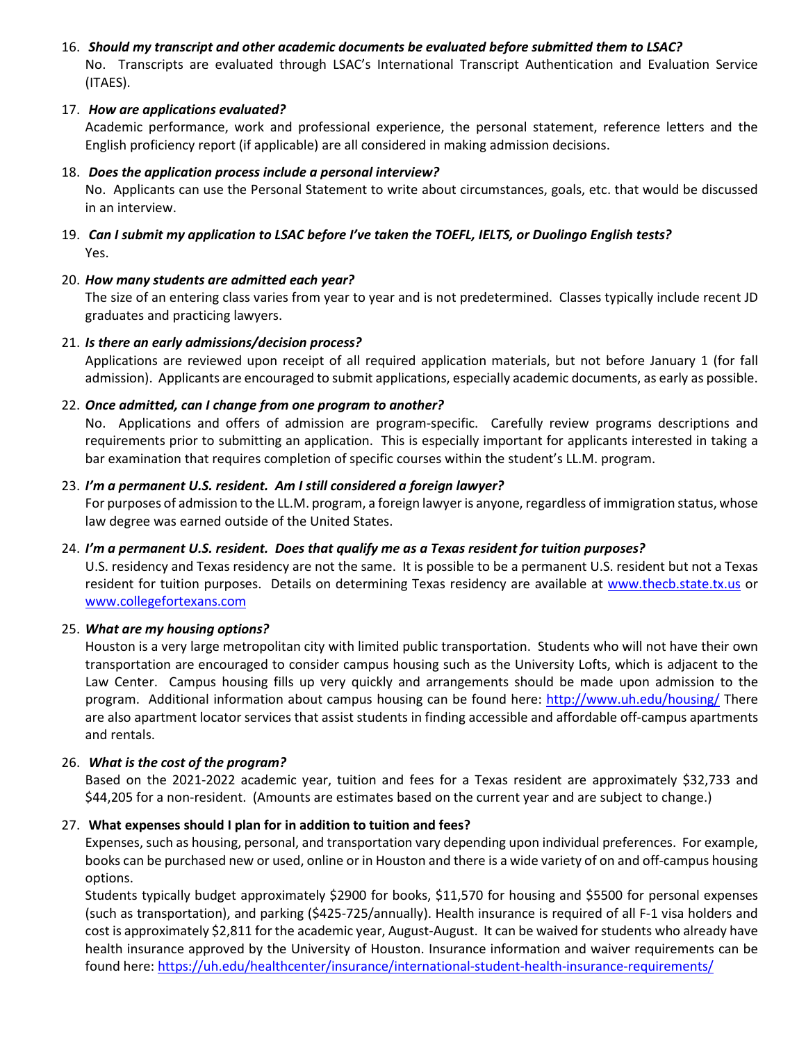## 16. *Should my transcript and other academic documents be evaluated before submitted them to LSAC?* No. Transcripts are evaluated through LSAC's International Transcript Authentication and Evaluation Service (ITAES).

#### 17. *How are applications evaluated?*

Academic performance, work and professional experience, the personal statement, reference letters and the English proficiency report (if applicable) are all considered in making admission decisions.

#### 18. *Does the application process include a personal interview?*

No. Applicants can use the Personal Statement to write about circumstances, goals, etc. that would be discussed in an interview.

19. *Can I submit my application to LSAC before I've taken the TOEFL, IELTS, or Duolingo English tests?* Yes.

#### 20. *How many students are admitted each year?*

The size of an entering class varies from year to year and is not predetermined. Classes typically include recent JD graduates and practicing lawyers.

#### 21. *Is there an early admissions/decision process?*

Applications are reviewed upon receipt of all required application materials, but not before January 1 (for fall admission). Applicants are encouraged to submit applications, especially academic documents, as early as possible.

#### 22. *Once admitted, can I change from one program to another?*

No. Applications and offers of admission are program-specific. Carefully review programs descriptions and requirements prior to submitting an application. This is especially important for applicants interested in taking a bar examination that requires completion of specific courses within the student's LL.M. program.

#### 23. *I'm a permanent U.S. resident. Am I still considered a foreign lawyer?*

For purposes of admission to the LL.M. program, a foreign lawyer is anyone, regardless of immigration status, whose law degree was earned outside of the United States.

#### 24. *I'm a permanent U.S. resident. Does that qualify me as a Texas resident for tuition purposes?*

U.S. residency and Texas residency are not the same. It is possible to be a permanent U.S. resident but not a Texas resident for tuition purposes. Details on determining Texas residency are available at [www.thecb.state.tx.us](http://www.thecb.state.tx.us/) or [www.collegefortexans.com](http://www.collegefortexans.com/)

#### 25. *What are my housing options?*

Houston is a very large metropolitan city with limited public transportation. Students who will not have their own transportation are encouraged to consider campus housing such as the University Lofts, which is adjacent to the Law Center. Campus housing fills up very quickly and arrangements should be made upon admission to the program. Additional information about campus housing can be found here:<http://www.uh.edu/housing/> There are also apartment locator services that assist students in finding accessible and affordable off-campus apartments and rentals.

#### 26. *What is the cost of the program?*

Based on the 2021-2022 academic year, tuition and fees for a Texas resident are approximately \$32,733 and \$44,205 for a non-resident. (Amounts are estimates based on the current year and are subject to change.)

## 27. **What expenses should I plan for in addition to tuition and fees?**

Expenses, such as housing, personal, and transportation vary depending upon individual preferences. For example, books can be purchased new or used, online or in Houston and there is a wide variety of on and off-campus housing options.

Students typically budget approximately \$2900 for books, \$11,570 for housing and \$5500 for personal expenses (such as transportation), and parking (\$425-725/annually). Health insurance is required of all F-1 visa holders and cost is approximately \$2,811 for the academic year, August-August. It can be waived for students who already have health insurance approved by the University of Houston. Insurance information and waiver requirements can be found here:<https://uh.edu/healthcenter/insurance/international-student-health-insurance-requirements/>